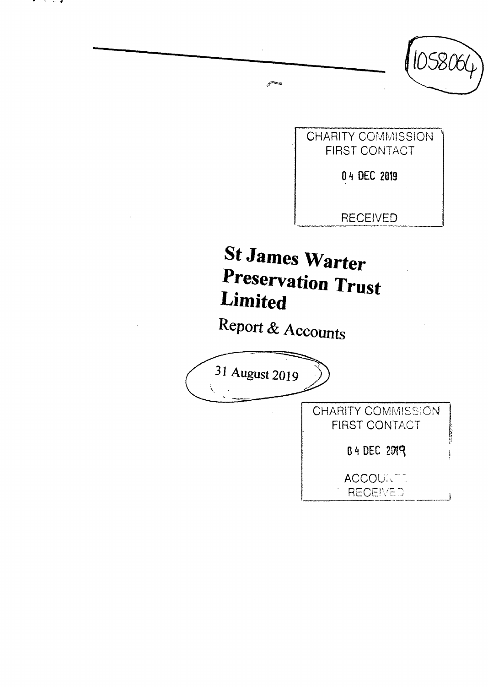

. . .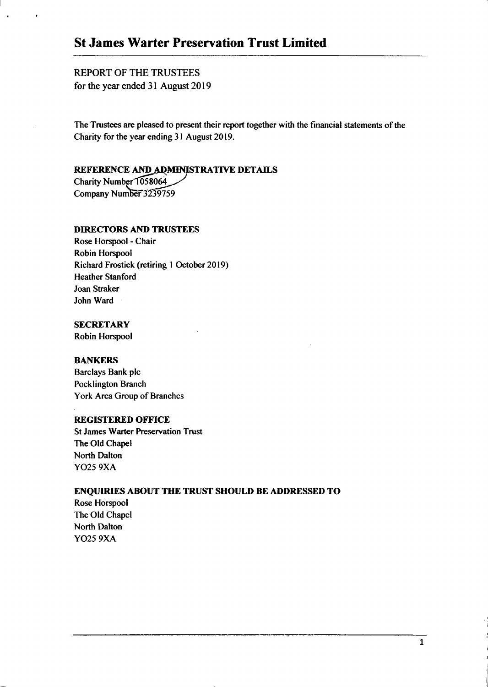# **St James Warter Preservation Trust Limited**

## REPORT OF THE TRUSTEES for the year ended 31 August 2019

The Trustees are pleased to present their report together with the financial statements of the Charity for the year ending 31 August 2019.

## REFERENCE AND ADMINISTRATIVE DETAILS

Charity Number 1058064 Company Number 3239759

## DIRECTORS AND TRUSTEES

Rose Horspool - Chair Robin Horspool Richard Frostick (retiring 1 October 2019) Heather Stanford Joan Straker John Ward

## **SECRETARY**

Robin Horspool

### BANKERS

Barclays Bank plc Pocklington Branch York Area Group of Branches

### REGISTERED OFFICE

St James Warter Preservation Trust The Old Chapel North Dalton Y025 9XA

### ENQUIRIES ABOUT THE TRUST SHOULD BE ADDRESSED TO

Rose Horspool The Old Chapel North Dalton Y025 9XA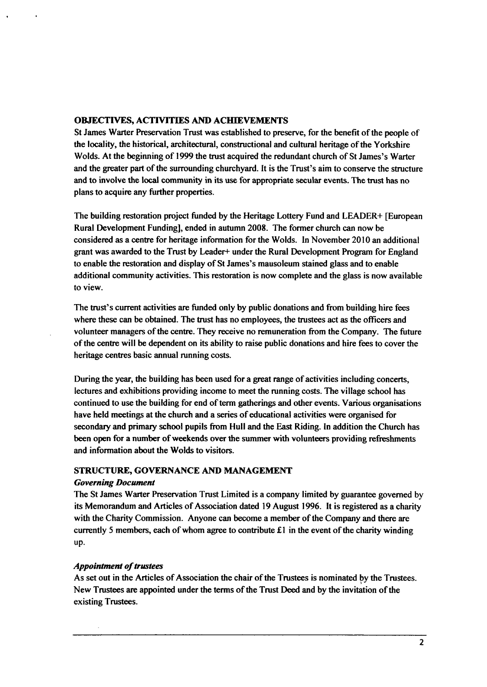### **OBJECTIVES, ACTIVITIES AND ACHIEVEMENTS**

**St James Warter Preservation Trust was established to preserve, for the benefit of the people of the locality, the historical, architectural, constructional and cultural heritage of the Yorkshire Wolds. At the beginning of 1999 the trust acquired the redundant church of St James's Warter and the greater part of the surrounding churchyard. It is the Trust's aim to conserve the structure and to involve the local community in its use for appropriate secular events. The trust has no plans to acquire any further properties.** 

**The building restoration project funded by the Heritage Lottery Fund and LEADER+ [European Rural Development Funding], ended in autumn 2008. The former church can now be considered as a centre for heritage information for the Wolds. In November 2010 an additional grant was awarded to the Trust by Leader+ under the Rural Development Program for England to enable the restoration and display of St James's mausoleum stained glass and to enable additional community activities. This restoration is now complete and the glass is now available to view.** 

**The trust's current activities are funded only by public donations and from building hire fees where these can be obtained. The trust has no employees, the trustees act as the officers and volunteer managers of the centre. They receive no remuneration from the Company. The future of the centre will be dependent on its ability to raise public donations and hire fees to cover the heritage centres basic annual running costs.** 

During the year, the building has been used for a great range of activities including concerts, **lectures and exhibitions providing income to meet the running costs. The village school has continued to use the building for end of term gatherings and other events. Various organisations have held meetings at the church and a series of educational activities were organised for secondary and primary school pupils from Hull and the East Riding. In addition the Church has been open for a number of weekends over the summer with volunteers providing refreshments and information about the Wolds to visitors.** 

### *STRUCTURE, GOVERNANCE AND MANAGEMENT*

### *Governing Document*

**The St James Warter Preservation Trust Limited is a company limited by guarantee governed by its Memorandum and Articles of Association dated 19 August 1996. It is registered as a charity with the Charity Commission. Anyone can become a member of the Company and there are currently 5 members, each of whom agree to contribute £1 in the event of the charity winding up.** 

### *Appointment of trustees*

**As set out in the Articles of Association the chair of the Trustees is nominated by the Trustees. New Trustees are appointed under the terms of the Trust Deed and by the invitation of the existing Trustees.**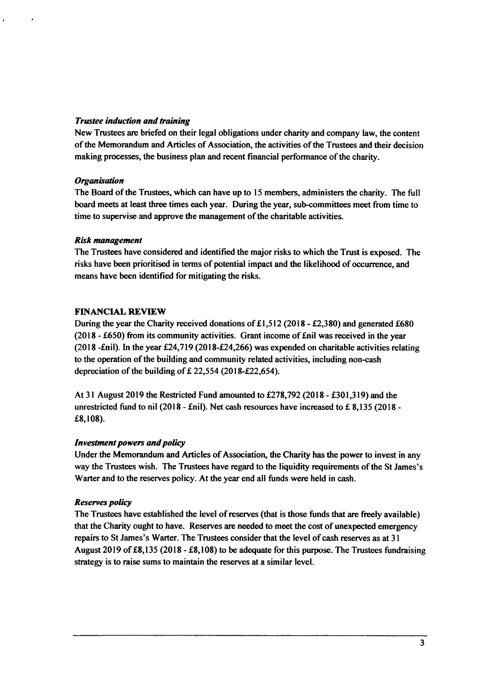## *Trustee induction and training*

New Trustees are briefed on their legal obligations under charity and company law, the content of the Memorandum and Articles of Association, the activities of the Trustees and their decision making processes, the business plan and recent financial performance of the charity.

## *Organisation*

The Board of the Trustees, which can have up to 15 members, administers the charity. The full board meets at least three times each year. During the year, sub-committees meet from time to time to supervise and approve the management of the charitable activities.

## *Risk management*

The Trustees have considered and identified the major risks to which the Trust is exposed. The risks have been prioritised in terms of potential impact and the likelihood of occurrence, and means have been identified for mitigating the risks.

## **FINANCIAL REVIEW**

During the year the Charity received donations of £1,512 (2018 - £2,380) and generated £680 (2018 - £650) from its community activities. Grant income of £nil was received in the year (2018 -£nil). In the year £24,719 (2018-£24,266) was expended on charitable activities relating to the operation of the building and community related activities, including non-cash depreciation of the building of  $£$  22,554 (2018-£22,654).

At 31 August 2019 the Restricted Fund amounted to £278,792 (2018 - £301,319) and the unrestricted fund to nil (2018 - £nil). Net cash resources have increased to £ 8,135 (2018 - £8,108).

## *Investment powers and policy*

Under the Memorandum and Articles of Association, the Charity has the power to invest in any way the Trustees wish. The Trustees have regard to the liquidity requirements of the St James's Warter and to the reserves policy. At the year end all funds were held in cash.

## *Reserves policy*

The Trustees have established the level of reserves (that is those funds that are freely available) that the Charity ought to have. Reserves are needed to meet the cost of unexpected emergency repairs to St James's Warter. The Trustees consider that the level of cash reserves as at 31 August 2019 of £8,135 (2018 - £8,108) to be adequate for this purpose. The Trustees fundraising strategy is to raise sums to maintain the reserves at a similar level.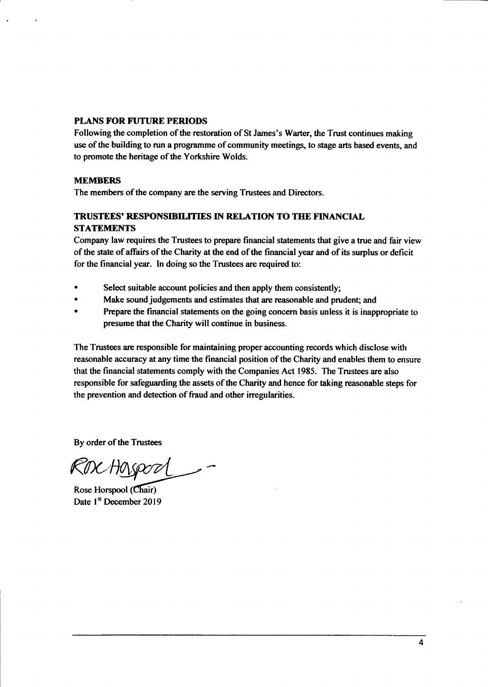## **PLANS FOR FUTURE PERIODS**

Following the completion of the restoration of St James's Warter, the Trust continues making use of the building to run a programme of community meetings, to stage arts based events, and to promote the heritage of the Yorkshire Wolds.

## **MEMBERS**

The members of the company are the serving Trustees and Directors.

## **TRUSTEES' RESPONSIBILITIES IN RELATION TO THE FINANCIAL STATEMENTS**

Company law requires the Trustees to prepare financial statements that give a true and fair view of the state of affairs of the Charity at the end of the financial year and of its surplus or deficit for the financial year. In doing so the Trustees are required to:

- Select suitable account policies and then apply them consistently;
- Make sound judgements and estimates that are reasonable and prudent; and
- Prepare the financial statements on the going concern basis unless it is inappropriate to presume that the Charity will continue in business.

The Trustees are responsible for maintaining proper accounting records which disclose with reasonable accuracy at any time the financial position of the Charity and enables them to ensure that the financial statements comply with the Companies Act 1985. The Trustees are also responsible for safeguarding the assets of the Charity and hence for taking reasonable steps for the prevention and detection of fraud and other irregularities.

By order of the Trustees

Rox Hosport\_

Rose Horspool (Chair) Date 1<sup>st</sup> December 2019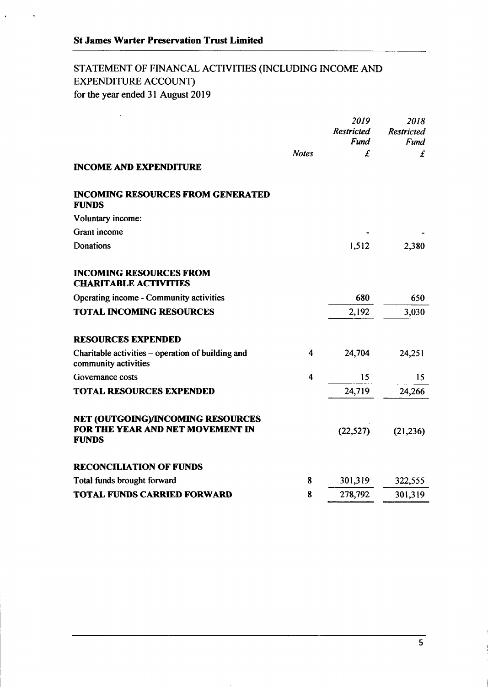$\ddot{\phantom{a}}$ 

 $\ddot{\phantom{0}}$ 

## STATEMENT OF FINANCAL ACTIVITIES (INCLUDING INCOME AND EXPENDITURE ACCOUNT) for the year ended 31 August 2019

|                                                                                       |              | 2019<br><b>Restricted</b> | 2018<br><b>Restricted</b> |
|---------------------------------------------------------------------------------------|--------------|---------------------------|---------------------------|
|                                                                                       |              | Fund                      | Fund                      |
| <b>INCOME AND EXPENDITURE</b>                                                         | <b>Notes</b> | £                         | £                         |
| <b>INCOMING RESOURCES FROM GENERATED</b><br><b>FUNDS</b>                              |              |                           |                           |
| Voluntary income:                                                                     |              |                           |                           |
| Grant income                                                                          |              |                           |                           |
| Donations                                                                             |              | 1,512                     | 2,380                     |
| <b>INCOMING RESOURCES FROM</b><br><b>CHARITABLE ACTIVITIES</b>                        |              |                           |                           |
| Operating income - Community activities                                               |              | 680                       | 650                       |
| <b>TOTAL INCOMING RESOURCES</b>                                                       |              | 2,192                     | 3,030                     |
| <b>RESOURCES EXPENDED</b>                                                             |              |                           |                           |
| Charitable activities – operation of building and<br>community activities             | 4            | 24,704                    | 24,251                    |
| Governance costs                                                                      | 4            | 15                        | 15                        |
| <b>TOTAL RESOURCES EXPENDED</b>                                                       |              | 24,719                    | 24,266                    |
| NET (OUTGOING)/INCOMING RESOURCES<br>FOR THE YEAR AND NET MOVEMENT IN<br><b>FUNDS</b> |              | (22, 527)                 | (21, 236)                 |
| <b>RECONCILIATION OF FUNDS</b>                                                        |              |                           |                           |
| Total funds brought forward                                                           | 8            | 301,319                   | 322,555                   |
| <b>TOTAL FUNDS CARRIED FORWARD</b>                                                    | 8            | 278,792                   | 301,319                   |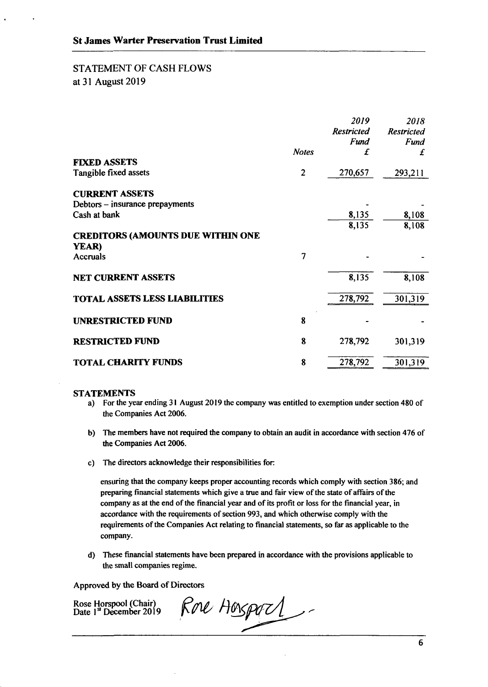# STATEMENT OF CASH FLOWS

at 31 August 2019

|                                          |              | 2019<br><b>Restricted</b><br>Fund | 2018<br><b>Restricted</b><br>Fund |
|------------------------------------------|--------------|-----------------------------------|-----------------------------------|
|                                          | <b>Notes</b> | £                                 | £                                 |
| <b>FIXED ASSETS</b>                      |              |                                   |                                   |
| Tangible fixed assets                    | $\mathbf{2}$ | 270,657                           | 293,211                           |
| <b>CURRENT ASSETS</b>                    |              |                                   |                                   |
| Debtors – insurance prepayments          |              |                                   |                                   |
| Cash at bank                             |              | 8,135                             | 8,108                             |
|                                          |              | 8,135                             | 8,108                             |
| <b>CREDITORS (AMOUNTS DUE WITHIN ONE</b> |              |                                   |                                   |
| YEAR)                                    |              |                                   |                                   |
| Accruals                                 | 7            |                                   |                                   |
| <b>NET CURRENT ASSETS</b>                |              | 8,135                             | 8,108                             |
| <b>TOTAL ASSETS LESS LIABILITIES</b>     |              | 278,792                           | 301,319                           |
| <b>UNRESTRICTED FUND</b>                 | 8            |                                   |                                   |
| <b>RESTRICTED FUND</b>                   | 8            | 278,792                           | 301,319                           |
| <b>TOTAL CHARITY FUNDS</b>               | 8            | 278,792                           | 301,319                           |

### **STATEMENTS**

- a) For the year ending 31 August 2019 the company was entitled to exemption under section 480 of the Companies Act 2006.
- b) The members have not required the company to obtain an audit in accordance with section 476 of the Companies Act 2006.
- c) The directors acknowledge their responsibilities for

ensuring that the company keeps proper accounting records which comply with section 386; and preparing financial statements which give a true and fair view of the state of affairs of the company as at the end of the financial year and of its profit or loss for the financial year, in accordance with the requirements of section 993, and which otherwise comply with the requirements ofthe Companies Act relating to financial statements, so far as applicable to the company.

d) These financial statements have been prepared in accordance with the provisions applicable to the small companies regime.

Approved by the Board of Directors

Rore Hosport Rose Horspool (Chair) Date 1st December 2019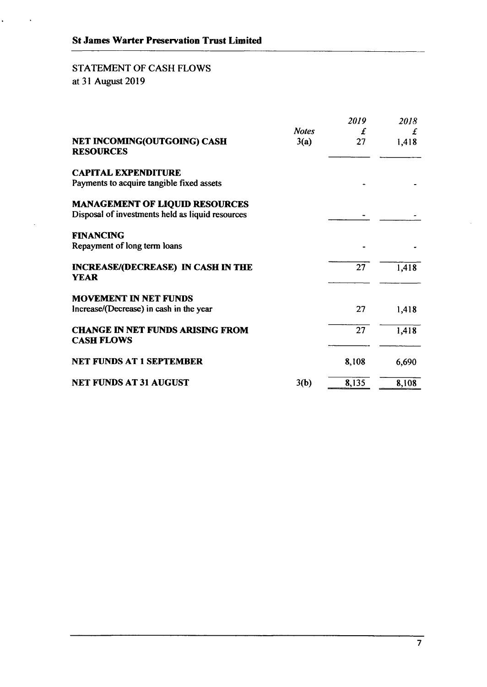## STATEMENT OF CASH FLOWS at 31 August 2019

l,

|                                                                                           |                      | 2019    | 2018       |
|-------------------------------------------------------------------------------------------|----------------------|---------|------------|
| NET INCOMING(OUTGOING) CASH<br><b>RESOURCES</b>                                           | <b>Notes</b><br>3(a) | £<br>27 | £<br>1,418 |
| <b>CAPITAL EXPENDITURE</b><br>Payments to acquire tangible fixed assets                   |                      |         |            |
| <b>MANAGEMENT OF LIQUID RESOURCES</b><br>Disposal of investments held as liquid resources |                      |         |            |
| <b>FINANCING</b><br>Repayment of long term loans                                          |                      |         |            |
| <b>INCREASE/(DECREASE) IN CASH IN THE</b><br><b>YEAR</b>                                  |                      | 27      | 1,418      |
| <b>MOVEMENT IN NET FUNDS</b><br>Increase/(Decrease) in cash in the year                   |                      | 27      | 1,418      |
| <b>CHANGE IN NET FUNDS ARISING FROM</b><br><b>CASH FLOWS</b>                              |                      | 27      | 1,418      |
| NET FUNDS AT 1 SEPTEMBER                                                                  |                      | 8,108   | 6,690      |
| <b>NET FUNDS AT 31 AUGUST</b>                                                             | 3(b)                 | 8,135   | 8,108      |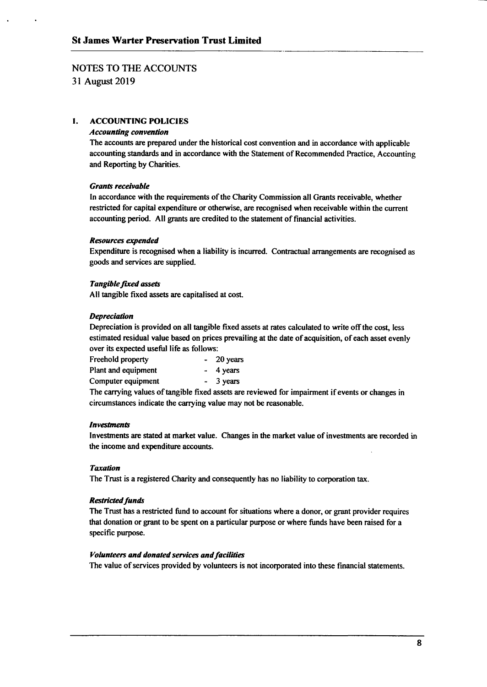## NOTES TO THE ACCOUNTS

31 August 2019

### *1. ACCOUNTING POLICIES*

### *Accounting convention*

The accounts are prepared under the historical cost convention and in accordance with applicable accounting standards and in accordance with the Statement of Recommended Practice, Accounting and Reporting by Charities.

### *Grants receivable*

In accordance with the requirements of the Charity Commission all Grants receivable, whether restricted for capital expenditure or otherwise, are recognised when receivable within the current accounting period. All grants are credited to the statement of financial activities.

### *Resources expended*

Expenditure is recognised when a liability is incurred. Contractual arrangements are recognised as goods and services are supplied.

### *Tangible fixed assets*

All tangible fixed assets are capitalised at cost.

### **Depreciation**

Depreciation is provided on all tangible fixed assets at rates calculated to write off the cost, less estimated residual value based on prices prevailing at the date of acquisition, of each asset evenly over its expected useful life as follows:

| Freehold property   | $-20$ years |
|---------------------|-------------|
| Plant and equipment | $-4$ years  |
| Computer equipment  | $-3$ years  |

The carrying values of tangible fixed assets are reviewed for impairment if events or changes in circumstances indicate the carrying value may not be reasonable.

### *Investments*

Investments are stated at market value. Changes in the market value of investments are recorded in the income and expenditure accounts.

#### *Taxation*

The Trust is a registered Charity and consequently has no liability to corporation tax. *The Trust is a registered Charity and consequently has no liability to corporation tax.* 

### **Restricted funds**

The Trust has a restricted fund to account for situations where a donor, or grant provider requires that donation or grant to be spent on a particular purpose or where funds have been raised for a specific purpose.

#### *Volunteers and donated services and facilities*

The value of services provided by volunteers is not incorporated into these financial statements.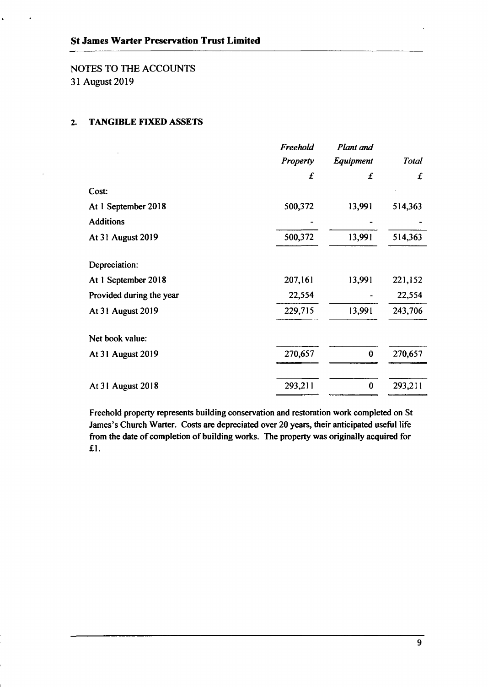NOTES TO THE ACCOUNTS 31 August 2019

## **2. TANGIBLE FTXED ASSETS**

| Freehold        | Plant and |              |
|-----------------|-----------|--------------|
| <b>Property</b> | Equipment | <b>Total</b> |
| £               | £         | £            |
|                 |           |              |
| 500,372         | 13,991    | 514,363      |
|                 |           |              |
| 500,372         | 13,991    | 514,363      |
|                 |           |              |
| 207,161         | 13,991    | 221,152      |
| 22,554          |           | 22,554       |
| 229,715         | 13,991    | 243,706      |
|                 |           |              |
| 270,657         | $\bf{0}$  | 270,657      |
|                 |           | 293,211      |
|                 | 293,211   | $\bf{0}$     |

Freehold property represents building conservation and restoration work completed on St James's Church Warter. Costs are depreciated over 20 years, their anticipated useful life from the date of completion of building works. The property was originally acquired for £1.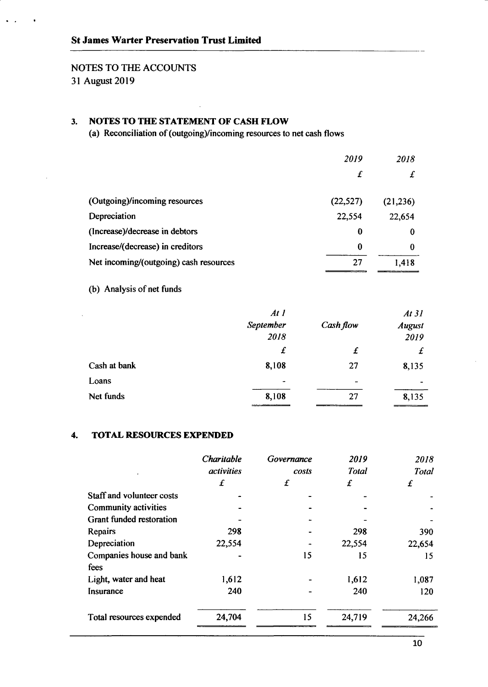## NOTES TO THE ACCOUNTS 31 August 2019

## **3. NOTES TO THE STATEMENT OF CASH FLOW**

(a) Reconciliation of (outgoing)/incoming resources to net cash flows

|                                        | 2019      | 2018      |
|----------------------------------------|-----------|-----------|
|                                        | £         | ±         |
| (Outgoing)/incoming resources          | (22, 527) | (21, 236) |
| Depreciation                           | 22,554    | 22,654    |
| (Increase)/decrease in debtors         | 0         | $\Omega$  |
| Increase/(decrease) in creditors       | $\bf{0}$  | 0         |
| Net incoming/(outgoing) cash resources | 27        | 1,418     |

(b) Analysis of net funds

i,

|              | At 1                     |           | At 31         |
|--------------|--------------------------|-----------|---------------|
|              | September                | Cash flow | <b>August</b> |
|              | 2018                     |           | 2019          |
|              | £                        | £         | £             |
| Cash at bank | 8,108                    | 27        | 8,135         |
| Loans        | $\overline{\phantom{a}}$ | -         | -             |
| Net funds    | 8,108                    | 27        | 8,135         |

#### **TOTAL RESOURCES EXPENDED**   $\overline{4}$ .

|                                 | Charitable        | Governance            | 2019   | 2018   |  |              |
|---------------------------------|-------------------|-----------------------|--------|--------|--|--------------|
|                                 | <i>activities</i> | <b>Total</b><br>costs |        |        |  | <b>Total</b> |
|                                 | £                 | £                     | £      | £      |  |              |
| Staff and volunteer costs       |                   |                       |        |        |  |              |
| Community activities            |                   |                       |        |        |  |              |
| <b>Grant funded restoration</b> |                   |                       |        |        |  |              |
| Repairs                         | 298               |                       | 298    | 390    |  |              |
| Depreciation                    | 22,554            |                       | 22,554 | 22,654 |  |              |
| Companies house and bank        |                   | 15                    | 15     | 15     |  |              |
| fees                            |                   |                       |        |        |  |              |
| Light, water and heat           | 1,612             |                       | 1,612  | 1,087  |  |              |
| Insurance                       | 240               |                       | 240    | 120    |  |              |
| Total resources expended        | 24,704            | 15                    | 24,719 | 24,266 |  |              |